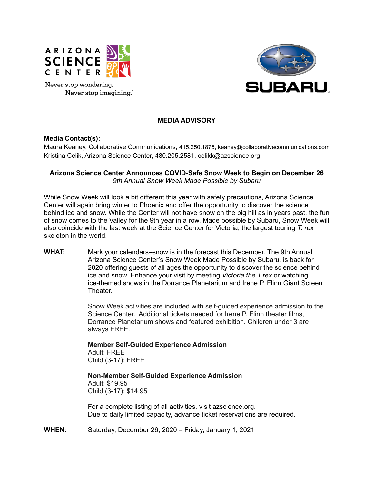

Never stop wondering. Never stop imagining."



# **MEDIA ADVISORY**

### **Media Contact(s):**

Maura Keaney, Collaborative Communications, 415.250.1875, keaney@collaborativecommunications.com Kristina Celik, Arizona Science Center, 480.205.2581, celikk@azscience.org

## **Arizona Science Center Announces COVID-Safe Snow Week to Begin on December 26** *9th Annual Snow Week Made Possible by Subaru*

While Snow Week will look a bit different this year with safety precautions, Arizona Science Center will again bring winter to Phoenix and offer the opportunity to discover the science behind ice and snow. While the Center will not have snow on the big hill as in years past, the fun of snow comes to the Valley for the 9th year in a row. Made possible by Subaru, Snow Week will also coincide with the last week at the Science Center for Victoria, the largest touring *T. rex* skeleton in the world.

**WHAT:** Mark your calendars–snow is in the forecast this December. The 9th Annual Arizona Science Center's Snow Week Made Possible by Subaru, is back for 2020 offering guests of all ages the opportunity to discover the science behind ice and snow. Enhance your visit by meeting *Victoria the T.rex* or watching ice-themed shows in the Dorrance Planetarium and Irene P. Flinn Giant Screen **Theater** 

> Snow Week activities are included with self-guided experience admission to the Science Center. Additional tickets needed for Irene P. Flinn theater films, Dorrance Planetarium shows and featured exhibition. Children under 3 are always FREE.

**Member Self-Guided Experience Admission** Adult: FREE Child (3-17): FREE

**Non-Member Self-Guided Experience Admission** Adult: \$19.95 Child (3-17): \$14.95

For a complete listing of all activities, visit azscience.org. Due to daily limited capacity, advance ticket reservations are required.

**WHEN:** Saturday, December 26, 2020 – Friday, January 1, 2021